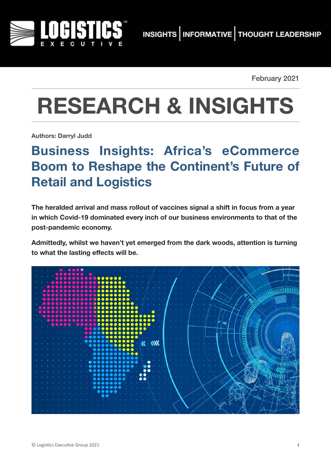

February 2021

# **RESEARCH & INSIGHTS**

**Authors: Darryl Judd**

# **Business Insights: Africa's eCommerce Boom to Reshape the Continent's Future of Retail and Logistics**

**The heralded arrival and mass rollout of vaccines signal a shift in focus from a year in which Covid-19 dominated every inch of our business environments to that of the post-pandemic economy.** 

**Admittedly, whilst we haven't yet emerged from the dark woods, attention is turning to what the lasting effects will be.**

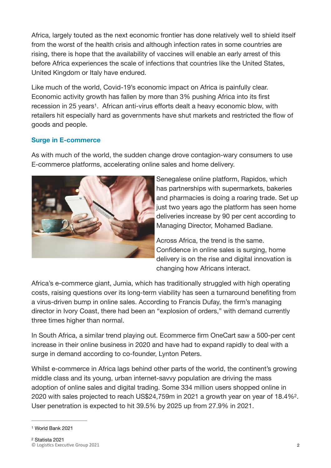Africa, largely touted as the next economic frontier has done relatively well to shield itself from the worst of the health crisis and although infection rates in some countries are rising, there is hope that the availability of vaccines will enable an early arrest of this before Africa experiences the scale of infections that countries like the United States, United Kingdom or Italy have endured.

<span id="page-1-2"></span>Like much of the world, Covid-19's economic impact on Africa is painfully clear. Economic activity growth has fallen by more than 3% pushing Africa into its first recession in 25 years<sup>[1](#page-1-0)</sup>. African anti-virus efforts dealt a heavy economic blow, with retailers hit especially hard as governments have shut markets and restricted the flow of goods and people.

#### **Surge in E-commerce**

As with much of the world, the sudden change drove contagion-wary consumers to use E-commerce platforms, accelerating online sales and home delivery.



Senegalese online platform, Rapidos, which has partnerships with supermarkets, bakeries and pharmacies is doing a roaring trade. Set up just two years ago the platform has seen home deliveries increase by 90 per cent according to Managing Director, Mohamed Badiane.

<span id="page-1-3"></span>Across Africa, the trend is the same. Confidence in online sales is surging, home delivery is on the rise and digital innovation is changing how Africans interact.

Africa's e-commerce giant, Jumia, which has traditionally struggled with high operating costs, raising questions over its long-term viability has seen a turnaround benefiting from a virus-driven bump in online sales. According to Francis Dufay, the firm's managing director in Ivory Coast, there had been an "explosion of orders," with demand currently three times higher than normal.

In South Africa, a similar trend playing out. Ecommerce firm OneCart saw a 500-per cent increase in their online business in 2020 and have had to expand rapidly to deal with a surge in demand according to co-founder, Lynton Peters.

Whilst e-commerce in Africa lags behind other parts of the world, the continent's growing middle class and its young, urban internet-savvy population are driving the mass adoption of online sales and digital trading. Some 334 million users shopped online in 2020 with sales projected to reach US\$24,759m in 2021 a growth year on year of 18[.](#page-1-1)4%<sup>[2](#page-1-1)</sup>. User penetration is expected to hit 39.5% by 2025 up from 27.9% in 2021.

<span id="page-1-1"></span><span id="page-1-0"></span>[<sup>1</sup>](#page-1-2) World Bank 2021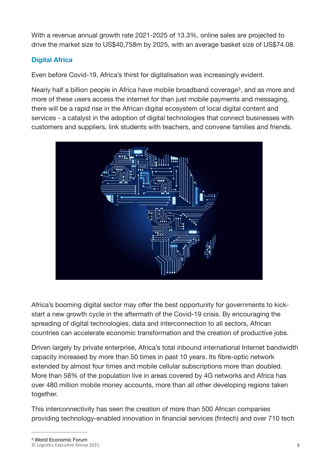With a revenue annual growth rate 2021-2025 of 13.3%, online sales are projected to drive the market size to US\$40,758m by 2025, with an average basket size of US\$74.08.

### **Digital Africa**

Even before Covid-19, Africa's thirst for digitalisation was increasingly evident.

Nearly half a billion people in Africa have mobile broadband coverage<sup>3</sup>[,](#page-2-0) and as more and more of these users access the internet for than just mobile payments and messaging, there will be a rapid rise in the African digital ecosystem of local digital content and services - a catalyst in the adoption of digital technologies that connect businesses with customers and suppliers, link students with teachers, and convene families and friends.

<span id="page-2-1"></span>

Africa's booming digital sector may offer the best opportunity for governments to kickstart a new growth cycle in the aftermath of the Covid-19 crisis. By encouraging the spreading of digital technologies, data and interconnection to all sectors, African countries can accelerate economic transformation and the creation of productive jobs.

Driven largely by private enterprise, Africa's total inbound international Internet bandwidth capacity increased by more than 50 times in past 10 years. Its fibre-optic network extended by almost four times and mobile cellular subscriptions more than doubled. More than 58% of the population live in areas covered by 4G networks and Africa has over 480 million mobile money accounts, more than all other developing regions taken together.

<span id="page-2-0"></span>This interconnectivity has seen the creation of more than 500 African companies providing technology-enabled innovation in financial services (fintech) and over 710 tech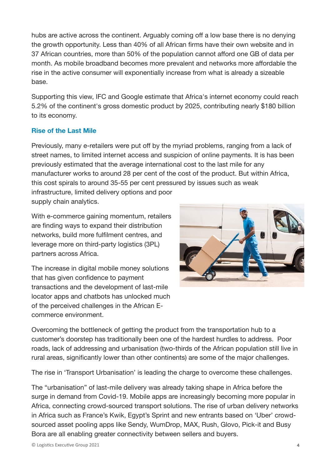hubs are active across the continent. Arguably coming off a low base there is no denying the growth opportunity. Less than 40% of all African firms have their own website and in 37 African countries, more than 50% of the population cannot afford one GB of data per month. As mobile broadband becomes more prevalent and networks more affordable the rise in the active consumer will exponentially increase from what is already a sizeable base.

Supporting this view, IFC and Google estimate that Africa's internet economy could reach 5.2% of the continent's gross domestic product by 2025, contributing nearly \$180 billion to its economy.

#### **Rise of the Last Mile**

Previously, many e-retailers were put off by the myriad problems, ranging from a lack of street names, to limited internet access and suspicion of online payments. It is has been previously estimated that the average international cost to the last mile for any manufacturer works to around 28 per cent of the cost of the product. But within Africa, this cost spirals to around 35-55 per cent pressured by issues such as weak infrastructure, limited delivery options and poor supply chain analytics.

With e-commerce gaining momentum, retailers are finding ways to expand their distribution networks, build more fulfilment centres, and leverage more on third-party logistics (3PL) partners across Africa.

The increase in digital mobile money solutions that has given confidence to payment transactions and the development of last-mile locator apps and chatbots has unlocked much of the perceived challenges in the African Ecommerce environment.



Overcoming the bottleneck of getting the product from the transportation hub to a customer's doorstep has traditionally been one of the hardest hurdles to address. Poor roads, lack of addressing and urbanisation (two-thirds of the African population still live in rural areas, significantly lower than other continents) are some of the major challenges.

The rise in 'Transport Urbanisation' is leading the charge to overcome these challenges.

The "urbanisation" of last-mile delivery was already taking shape in Africa before the surge in demand from Covid-19. Mobile apps are increasingly becoming more popular in Africa, connecting crowd-sourced transport solutions. The rise of urban delivery networks in Africa such as France's Kwik, Egypt's Sprint and new entrants based on 'Uber' crowdsourced asset pooling apps like Sendy, WumDrop, MAX, Rush, Glovo, Pick-it and Busy Bora are all enabling greater connectivity between sellers and buyers.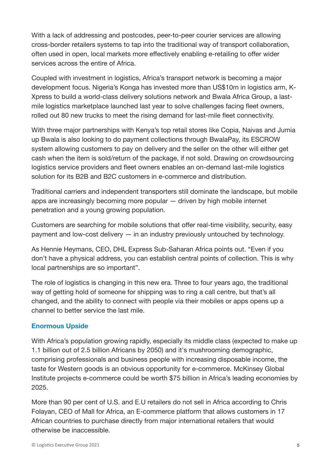With a lack of addressing and postcodes, peer-to-peer courier services are allowing cross-border retailers systems to tap into the traditional way of transport collaboration, often used in open, local markets more effectively enabling e-retailing to offer wider services across the entire of Africa.

Coupled with investment in logistics, Africa's transport network is becoming a major development focus. Nigeria's Konga has invested more than US\$10m in logistics arm, K-Xpress to build a world-class delivery solutions network and Bwala Africa Group, a lastmile logistics marketplace launched last year to solve challenges facing fleet owners, rolled out 80 new trucks to meet the rising demand for last-mile fleet connectivity.

With three major partnerships with Kenya's top retail stores like Copia, Naivas and Jumia up Bwala is also looking to do payment collections through BwalaPay, its ESCROW system allowing customers to pay on delivery and the seller on the other will either get cash when the item is sold/return of the package, if not sold. Drawing on crowdsourcing logistics service providers and fleet owners enables an on-demand last-mile logistics solution for its B2B and B2C customers in e-commerce and distribution.

Traditional carriers and independent transporters still dominate the landscape, but mobile apps are increasingly becoming more popular — driven by high mobile internet penetration and a young growing population.

Customers are searching for mobile solutions that offer real-time visibility, security, easy payment and low-cost delivery — in an industry previously untouched by technology.

As Hennie Heymans, CEO, DHL Express Sub-Saharan Africa points out. "Even if you don't have a physical address, you can establish central points of collection. This is why local partnerships are so important".

The role of logistics is changing in this new era. Three to four years ago, the traditional way of getting hold of someone for shipping was to ring a call centre, but that's all changed, and the ability to connect with people via their mobiles or apps opens up a channel to better service the last mile.

#### **Enormous Upside**

With Africa's population growing rapidly, especially its middle class (expected to make up 1.1 billion out of 2.5 billion Africans by 2050) and it's mushrooming demographic, comprising professionals and business people with increasing disposable income, the taste for Western goods is an obvious opportunity for e-commerce. McKinsey Global Institute projects e-commerce could be worth \$75 billion in Africa's leading economies by 2025.

More than 90 per cent of U.S. and E.U retailers do not sell in Africa according to Chris Folayan, CEO of Mall for Africa, an E-commerce platform that allows customers in 17 African countries to purchase directly from major international retailers that would otherwise be inaccessible.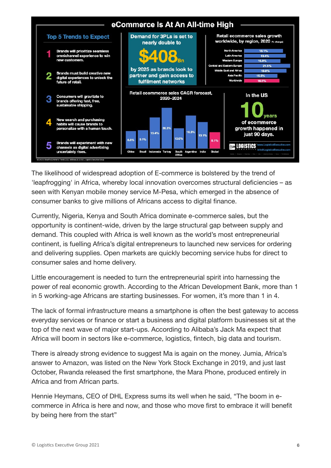

The likelihood of widespread adoption of E-commerce is bolstered by the trend of 'leapfrogging' in Africa, whereby local innovation overcomes structural deficiencies – as seen with Kenyan mobile money service M-Pesa, which emerged in the absence of consumer banks to give millions of Africans access to digital finance.

Currently, Nigeria, Kenya and South Africa dominate e-commerce sales, but the opportunity is continent-wide, driven by the large structural gap between supply and demand. This coupled with Africa is well known as the world's most entrepreneurial continent, is fuelling Africa's digital entrepreneurs to launched new services for ordering and delivering supplies. Open markets are quickly becoming service hubs for direct to consumer sales and home delivery.

Little encouragement is needed to turn the entrepreneurial spirit into harnessing the power of real economic growth. According to the African Development Bank, more than 1 in 5 working-age Africans are starting businesses. For women, it's more than 1 in 4.

The lack of formal infrastructure means a smartphone is often the best gateway to access everyday services or finance or start a business and digital platform businesses sit at the top of the next wave of major start-ups. According to Alibaba's Jack Ma expect that Africa will boom in sectors like e-commerce, logistics, fintech, big data and tourism.

There is already strong evidence to suggest Ma is again on the money. Jumia, Africa's answer to Amazon, was listed on the New York Stock Exchange in 2019, and just last October, Rwanda released the first smartphone, the Mara Phone, produced entirely in Africa and from African parts.

Hennie Heymans, CEO of DHL Express sums its well when he said, "The boom in ecommerce in Africa is here and now, and those who move first to embrace it will benefit by being here from the start"